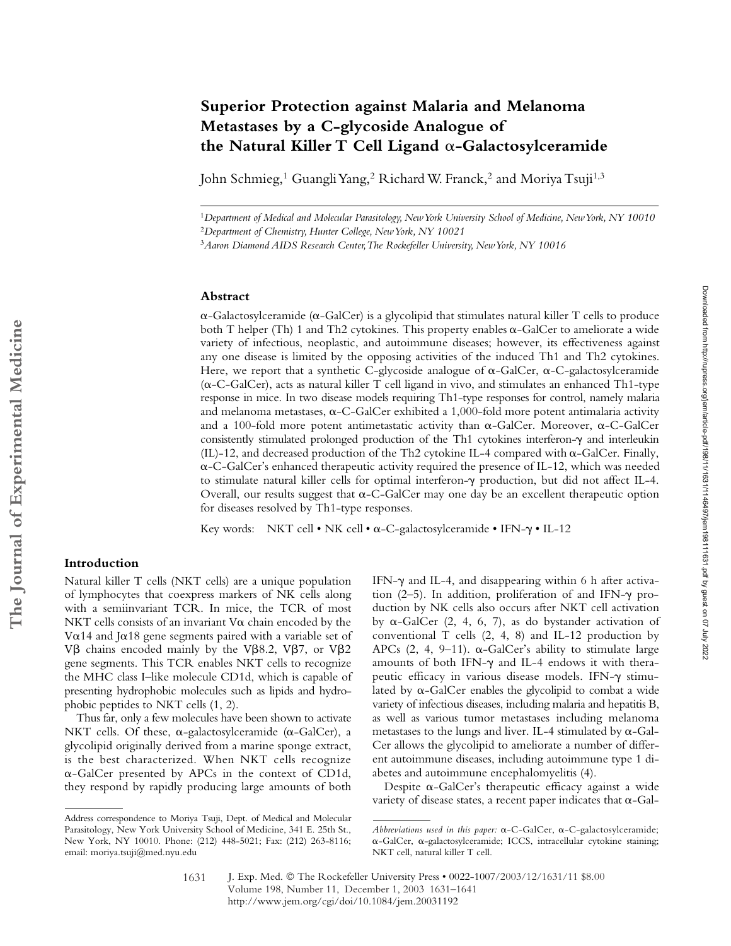# **Superior Protection against Malaria and Melanoma Metastases by a C-glycoside Analogue of**  the Natural Killer T Cell Ligand  $\alpha$ -Galactosylceramide

John Schmieg,<sup>1</sup> Guangli Yang,<sup>2</sup> Richard W. Franck,<sup>2</sup> and Moriya Tsuji<sup>1,3</sup>

<sup>1</sup>*Department of Medical and Molecular Parasitology, New York University School of Medicine, New York, NY 10010* <sup>2</sup>*Department of Chemistry, Hunter College, New York, NY 10021*

### **Abstract**

 $\alpha$ -Galactosylceramide ( $\alpha$ -GalCer) is a glycolipid that stimulates natural killer T cells to produce both T helper (Th) 1 and Th2 cytokines. This property enables  $\alpha$ -GalCer to ameliorate a wide variety of infectious, neoplastic, and autoimmune diseases; however, its effectiveness against any one disease is limited by the opposing activities of the induced Th1 and Th2 cytokines. Here, we report that a synthetic C-glycoside analogue of  $\alpha$ -GalCer,  $\alpha$ -C-galactosylceramide (a-C-GalCer), acts as natural killer T cell ligand in vivo, and stimulates an enhanced Th1-type response in mice. In two disease models requiring Th1-type responses for control, namely malaria and melanoma metastases,  $\alpha$ -C-GalCer exhibited a 1,000-fold more potent antimalaria activity and a 100-fold more potent antimetastatic activity than  $\alpha$ -GalCer. Moreover,  $\alpha$ -C-GalCer consistently stimulated prolonged production of the Th1 cytokines interferon- $\gamma$  and interleukin  $(IL)$ -12, and decreased production of the Th2 cytokine IL-4 compared with  $\alpha$ -GalCer. Finally, --C-GalCer's enhanced therapeutic activity required the presence of IL-12, which was needed to stimulate natural killer cells for optimal interferon- $\gamma$  production, but did not affect IL-4. Overall, our results suggest that  $\alpha$ -C-GalCer may one day be an excellent therapeutic option for diseases resolved by Th1-type responses.

Key words: NKT cell • NK cell •  $\alpha$ -C-galactosylceramide • IFN- $\gamma$  • IL-12

## **Introduction**

Natural killer T cells (NKT cells) are a unique population of lymphocytes that coexpress markers of NK cells along with a semiinvariant TCR. In mice, the TCR of most NKT cells consists of an invariant  $V\alpha$  chain encoded by the V $\alpha$ 14 and J $\alpha$ 18 gene segments paired with a variable set of V $\beta$  chains encoded mainly by the V $\beta$ 8.2, V $\beta$ 7, or V $\beta$ 2 gene segments. This TCR enables NKT cells to recognize the MHC class I–like molecule CD1d, which is capable of presenting hydrophobic molecules such as lipids and hydrophobic peptides to NKT cells (1, 2).

Thus far, only a few molecules have been shown to activate NKT cells. Of these,  $\alpha$ -galactosylceramide ( $\alpha$ -GalCer), a glycolipid originally derived from a marine sponge extract, is the best characterized. When NKT cells recognize --GalCer presented by APCs in the context of CD1d, they respond by rapidly producing large amounts of both

IFN- $\gamma$  and IL-4, and disappearing within 6 h after activation  $(2-5)$ . In addition, proliferation of and IFN- $\gamma$  production by NK cells also occurs after NKT cell activation by  $\alpha$ -GalCer (2, 4, 6, 7), as do bystander activation of conventional T cells (2, 4, 8) and IL-12 production by APCs  $(2, 4, 9-11)$ .  $\alpha$ -GalCer's ability to stimulate large amounts of both IFN- $\gamma$  and IL-4 endows it with therapeutic efficacy in various disease models. IFN- $\gamma$  stimulated by  $\alpha$ -GalCer enables the glycolipid to combat a wide variety of infectious diseases, including malaria and hepatitis B, as well as various tumor metastases including melanoma metastases to the lungs and liver. IL-4 stimulated by  $\alpha$ -Gal-Cer allows the glycolipid to ameliorate a number of different autoimmune diseases, including autoimmune type 1 diabetes and autoimmune encephalomyelitis (4).

Downloaded from http://rupress.org/jenr/atticle-pdf/198/11/146497/jem198111631.pdf by guest on 07 July 2022 Downloaded from http://rupress.org/jem/article-pdf/198/11/1631/1146497/jem198111631.pdf by guest on 07 July 2022

Despite  $\alpha$ -GalCer's therapeutic efficacy against a wide variety of disease states, a recent paper indicates that  $\alpha$ -Gal-

<sup>3</sup>*Aaron Diamond AIDS Research Center, The Rockefeller University, New York, NY 10016*

Address correspondence to Moriya Tsuji, Dept. of Medical and Molecular Parasitology, New York University School of Medicine, 341 E. 25th St., New York, NY 10010. Phone: (212) 448-5021; Fax: (212) 263-8116; email: moriya.tsuji@med.nyu.edu

Abbreviations used in this paper:  $\alpha$ -C-GalCer,  $\alpha$ -C-galactosylceramide;  $\alpha$ -GalCer,  $\alpha$ -galactosylceramide; ICCS, intracellular cytokine staining; NKT cell, natural killer T cell.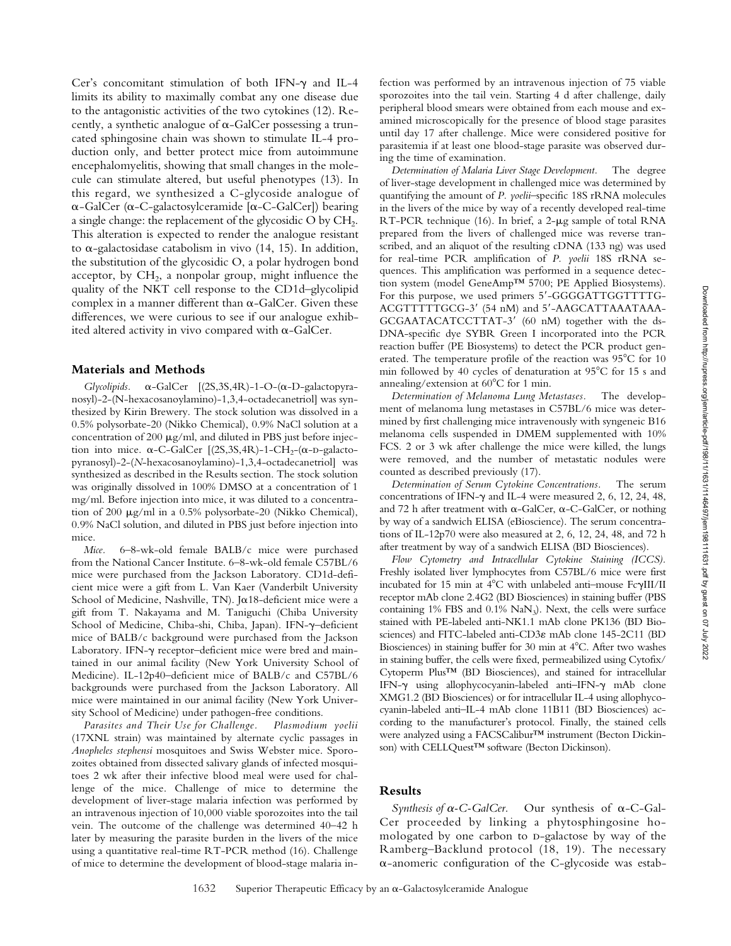Cer's concomitant stimulation of both IFN- $\gamma$  and IL-4 limits its ability to maximally combat any one disease due to the antagonistic activities of the two cytokines (12). Recently, a synthetic analogue of  $\alpha$ -GalCer possessing a truncated sphingosine chain was shown to stimulate IL-4 production only, and better protect mice from autoimmune encephalomyelitis, showing that small changes in the molecule can stimulate altered, but useful phenotypes (13). In this regard, we synthesized a C-glycoside analogue of  $\alpha$ -GalCer ( $\alpha$ -C-galactosylceramide [ $\alpha$ -C-GalCer]) bearing a single change: the replacement of the glycosidic  $O$  by  $CH<sub>2</sub>$ . This alteration is expected to render the analogue resistant to  $\alpha$ -galactosidase catabolism in vivo (14, 15). In addition, the substitution of the glycosidic O, a polar hydrogen bond acceptor, by  $CH<sub>2</sub>$ , a nonpolar group, might influence the quality of the NKT cell response to the CD1d–glycolipid complex in a manner different than  $\alpha$ -GalCer. Given these differences, we were curious to see if our analogue exhibited altered activity in vivo compared with  $\alpha$ -GalCer.

#### **Materials and Methods**

*Glycolipids.* - $-GalCer$   $[(2S, 3S, 4R) - 1 - O - (\alpha - D - galactopyra$ nosyl)-2-(N-hexacosanoylamino)-1,3,4-octadecanetriol] was synthesized by Kirin Brewery. The stock solution was dissolved in a 0.5% polysorbate-20 (Nikko Chemical), 0.9% NaCl solution at a concentration of 200  $\mu$ g/ml, and diluted in PBS just before injection into mice.  $\alpha$ -C-GalCer [(2S,3S,4R)-1-CH<sub>2</sub>-( $\alpha$ -D-galactopyranosyl)-2-(*N*-hexacosanoylamino)-1,3,4-octadecanetriol] was synthesized as described in the Results section. The stock solution was originally dissolved in 100% DMSO at a concentration of 1 mg/ml. Before injection into mice, it was diluted to a concentration of 200  $\mu$ g/ml in a 0.5% polysorbate-20 (Nikko Chemical), 0.9% NaCl solution, and diluted in PBS just before injection into mice.

*Mice.* 6–8-wk-old female BALB/c mice were purchased from the National Cancer Institute. 6–8-wk-old female C57BL/6 mice were purchased from the Jackson Laboratory. CD1d-deficient mice were a gift from L. Van Kaer (Vanderbilt University School of Medicine, Nashville, TN). Jo18-deficient mice were a gift from T. Nakayama and M. Taniguchi (Chiba University School of Medicine, Chiba-shi, Chiba, Japan). IFN- $\gamma$ -deficient mice of BALB/c background were purchased from the Jackson Laboratory. IFN- $\gamma$  receptor-deficient mice were bred and maintained in our animal facility (New York University School of Medicine). IL-12p40–deficient mice of BALB/c and C57BL/6 backgrounds were purchased from the Jackson Laboratory. All mice were maintained in our animal facility (New York University School of Medicine) under pathogen-free conditions.

*Parasites and Their Use for Challenge. Plasmodium yoelii* (17XNL strain) was maintained by alternate cyclic passages in *Anopheles stephensi* mosquitoes and Swiss Webster mice. Sporozoites obtained from dissected salivary glands of infected mosquitoes 2 wk after their infective blood meal were used for challenge of the mice. Challenge of mice to determine the development of liver-stage malaria infection was performed by an intravenous injection of 10,000 viable sporozoites into the tail vein. The outcome of the challenge was determined 40–42 h later by measuring the parasite burden in the livers of the mice using a quantitative real-time RT-PCR method (16). Challenge of mice to determine the development of blood-stage malaria infection was performed by an intravenous injection of 75 viable sporozoites into the tail vein. Starting 4 d after challenge, daily peripheral blood smears were obtained from each mouse and examined microscopically for the presence of blood stage parasites until day 17 after challenge. Mice were considered positive for parasitemia if at least one blood-stage parasite was observed during the time of examination.

*Determination of Malaria Liver Stage Development.* The degree of liver-stage development in challenged mice was determined by quantifying the amount of *P. yoelii*–specific 18S rRNA molecules in the livers of the mice by way of a recently developed real-time  $RT-PCR$  technique (16). In brief, a 2- $\mu$ g sample of total RNA prepared from the livers of challenged mice was reverse transcribed, and an aliquot of the resulting cDNA (133 ng) was used for real-time PCR amplification of *P. yoelii* 18S rRNA sequences. This amplification was performed in a sequence detection system (model GeneAmp™ 5700; PE Applied Biosystems). For this purpose, we used primers 5'-GGGGATTGGTTTTG-ACGTTTTTGCG-3' (54 nM) and 5'-AAGCATTAAATAAA-GCGAATACATCCTTAT-3' (60 nM) together with the ds-DNA-specific dye SYBR Green I incorporated into the PCR reaction buffer (PE Biosystems) to detect the PCR product generated. The temperature profile of the reaction was  $95^{\circ}$ C for 10 min followed by 40 cycles of denaturation at  $95^{\circ}$ C for 15 s and annealing/extension at  $60^{\circ}$ C for 1 min.

*Determination of Melanoma Lung Metastases.* The development of melanoma lung metastases in C57BL/6 mice was determined by first challenging mice intravenously with syngeneic B16 melanoma cells suspended in DMEM supplemented with 10% FCS. 2 or 3 wk after challenge the mice were killed, the lungs were removed, and the number of metastatic nodules were counted as described previously (17).

*Determination of Serum Cytokine Concentrations.* The serum concentrations of IFN- $\gamma$  and IL-4 were measured 2, 6, 12, 24, 48, and 72 h after treatment with  $\alpha$ -GalCer,  $\alpha$ -C-GalCer, or nothing by way of a sandwich ELISA (eBioscience). The serum concentrations of IL-12p70 were also measured at 2, 6, 12, 24, 48, and 72 h after treatment by way of a sandwich ELISA (BD Biosciences).

*Flow Cytometry and Intracellular Cytokine Staining (ICCS).* Freshly isolated liver lymphocytes from C57BL/6 mice were first incubated for 15 min at  $4^{\circ}$ C with unlabeled anti-mouse Fc $\gamma$ III/II receptor mAb clone 2.4G2 (BD Biosciences) in staining buffer (PBS containing 1% FBS and 0.1% NaN<sub>3</sub>). Next, the cells were surface stained with PE-labeled anti-NK1.1 mAb clone PK136 (BD Biosciences) and FITC-labeled anti-CD3 $\varepsilon$  mAb clone 145-2C11 (BD Biosciences) in staining buffer for 30 min at 4°C. After two washes in staining buffer, the cells were fixed, permeabilized using Cytofix/ Cytoperm Plus™ (BD Biosciences), and stained for intracellular IFN- $\gamma$  using allophycocyanin-labeled anti-IFN- $\gamma$  mAb clone XMG1.2 (BD Biosciences) or for intracellular IL-4 using allophycocyanin-labeled anti–IL-4 mAb clone 11B11 (BD Biosciences) according to the manufacturer's protocol. Finally, the stained cells were analyzed using a FACSCalibur™ instrument (Becton Dickinson) with CELLQuest<sup>™</sup> software (Becton Dickinson).

# **Results**

*Synthesis of*  $\alpha$ *-C-GalCer.* -C-GalCer. Our synthesis of  $\alpha$ -C-Gal-Cer proceeded by linking a phytosphingosine homologated by one carbon to p-galactose by way of the Ramberg–Backlund protocol (18, 19). The necessary --anomeric configuration of the C-glycoside was estab-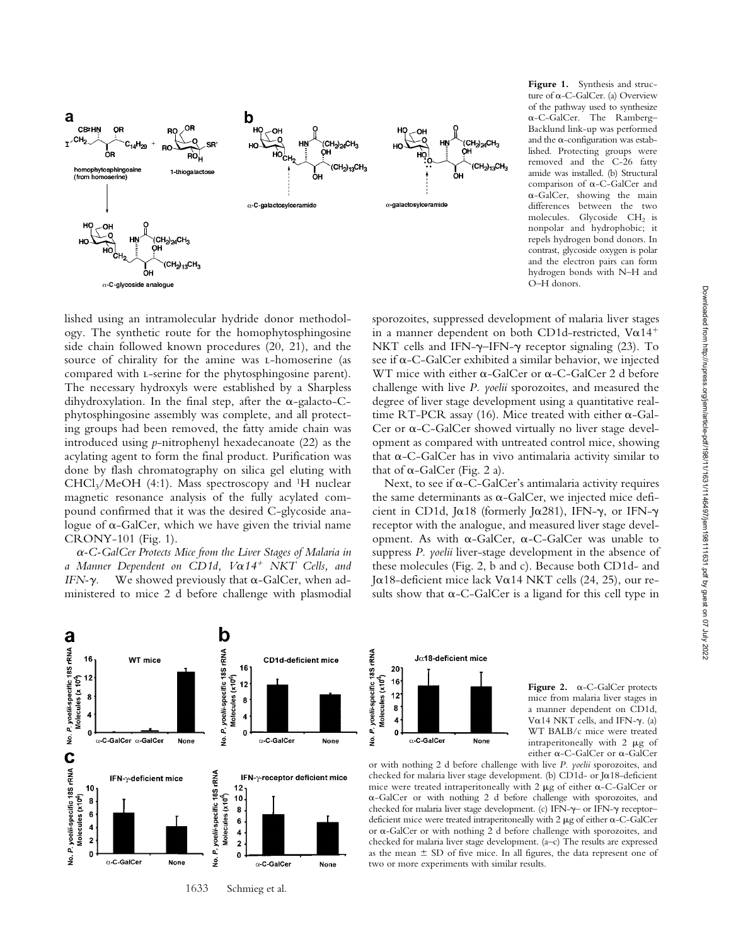

**Figure 1.** Synthesis and structure of α-C-GalCer. (a) Overview of the pathway used to synthesize --C-GalCer. The Ramberg– Backlund link-up was performed and the  $\alpha$ -configuration was established. Protecting groups were removed and the C-26 fatty amide was installed. (b) Structural comparison of  $\alpha$ -C-GalCer and --GalCer, showing the main differences between the two molecules. Glycoside CH<sub>2</sub> is nonpolar and hydrophobic; it repels hydrogen bond donors. In contrast, glycoside oxygen is polar and the electron pairs can form hydrogen bonds with N–H and O–H donors.

lished using an intramolecular hydride donor methodology. The synthetic route for the homophytosphingosine side chain followed known procedures (20, 21), and the source of chirality for the amine was *L*-homoserine (as compared with l-serine for the phytosphingosine parent). The necessary hydroxyls were established by a Sharpless dihydroxylation. In the final step, after the  $\alpha$ -galacto-Cphytosphingosine assembly was complete, and all protecting groups had been removed, the fatty amide chain was introduced using *p*-nitrophenyl hexadecanoate (22) as the acylating agent to form the final product. Purification was done by flash chromatography on silica gel eluting with  $CHCl<sub>3</sub>/MeOH$  (4:1). Mass spectroscopy and <sup>1</sup>H nuclear magnetic resonance analysis of the fully acylated compound confirmed that it was the desired C-glycoside analogue of  $\alpha$ -GalCer, which we have given the trivial name CRONY-101 (Fig. 1).

-*-C-GalCer Protects Mice from the Liver Stages of Malaria in a Manner Dependent on CD1d, V*-*14 NKT Cells, and IFN-* $\gamma$ . We showed previously that  $\alpha$ -GalCer, when administered to mice 2 d before challenge with plasmodial



Next, to see if  $\alpha$ -C-GalCer's antimalaria activity requires the same determinants as  $\alpha$ -GalCer, we injected mice deficient in CD1d, J $\alpha$ 18 (formerly J $\alpha$ 281), IFN- $\gamma$ , or IFN- $\gamma$ receptor with the analogue, and measured liver stage development. As with  $\alpha$ -GalCer,  $\alpha$ -C-GalCer was unable to suppress *P. yoelii* liver-stage development in the absence of these molecules (Fig. 2, b and c). Because both CD1d- and Jα18-deficient mice lack Vα14 NKT cells (24, 25), our results show that  $\alpha$ -C-GalCer is a ligand for this cell type in





Figure 2.  $\alpha$ -C-GalCer protects mice from malaria liver stages in a manner dependent on CD1d, V $\alpha$ 14 NKT cells, and IFN- $\gamma$ . (a) WT BALB/c mice were treated intraperitoneally with  $2 \mu g$  of either  $\alpha$ -C-GalCer or  $\alpha$ -GalCer

or with nothing 2 d before challenge with live *P. yoelii* sporozoites, and checked for malaria liver stage development. (b) CD1d- or J $\alpha$ 18-deficient mice were treated intraperitoneally with  $2 \mu$ g of either  $\alpha$ -C-GalCer or --GalCer or with nothing 2 d before challenge with sporozoites, and checked for malaria liver stage development. (c) IFN- $\gamma$  or IFN- $\gamma$  receptordeficient mice were treated intraperitoneally with  $2 \mu$ g of either  $\alpha$ -C-GalCer or  $\alpha$ -GalCer or with nothing 2 d before challenge with sporozoites, and checked for malaria liver stage development. (a–c) The results are expressed as the mean  $\pm$  SD of five mice. In all figures, the data represent one of two or more experiments with similar results.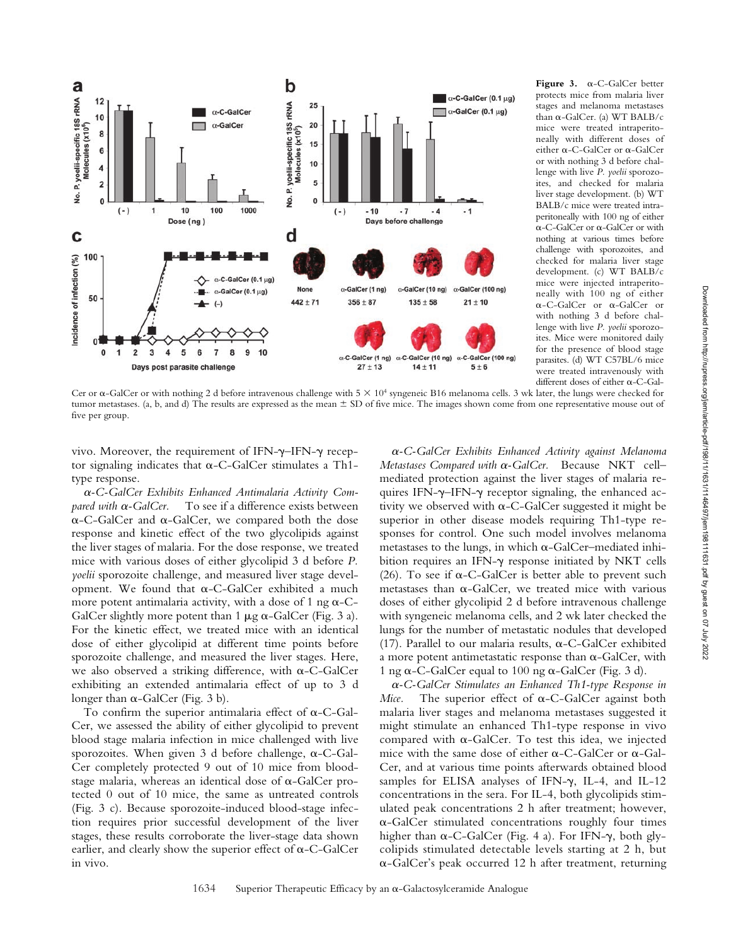

Figure 3.  $\alpha$ -C-GalCer better protects mice from malaria liver stages and melanoma metastases than α-GalCer. (a) WT BALB/c mice were treated intraperitoneally with different doses of either a-C-GalCer or a-GalCer or with nothing 3 d before challenge with live *P. yoelii* sporozoites, and checked for malaria liver stage development. (b) WT BALB/c mice were treated intraperitoneally with 100 ng of either  $\alpha$ -C-GalCer or  $\alpha$ -GalCer or with nothing at various times before challenge with sporozoites, and checked for malaria liver stage development. (c) WT BALB/c mice were injected intraperitoneally with 100 ng of either α-C-GalCer or α-GalCer or with nothing 3 d before challenge with live *P. yoelii* sporozoites. Mice were monitored daily for the presence of blood stage parasites. (d) WT C57BL/6 mice were treated intravenously with different doses of either  $\alpha$ -C-Gal-

Cer or  $\alpha$ -GalCer or with nothing 2 d before intravenous challenge with  $5 \times 10^4$  syngeneic B16 melanoma cells. 3 wk later, the lungs were checked for tumor metastases. (a, b, and d) The results are expressed as the mean  $\pm$  SD of five mice. The images shown come from one representative mouse out of five per group.

vivo. Moreover, the requirement of IFN- $\gamma$ -IFN- $\gamma$  receptor signaling indicates that  $\alpha$ -C-GalCer stimulates a Th1type response.

-*-C-GalCer Exhibits Enhanced Antimalaria Activity Compared with*  $\alpha$ -GalCer. To see if a difference exists between  $\alpha$ -C-GalCer and  $\alpha$ -GalCer, we compared both the dose response and kinetic effect of the two glycolipids against the liver stages of malaria. For the dose response, we treated mice with various doses of either glycolipid 3 d before *P. yoelii* sporozoite challenge, and measured liver stage development. We found that  $\alpha$ -C-GalCer exhibited a much more potent antimalaria activity, with a dose of  $1$  ng  $\alpha$ -C-GalCer slightly more potent than  $1 \mu g \alpha$ -GalCer (Fig. 3 a). For the kinetic effect, we treated mice with an identical dose of either glycolipid at different time points before sporozoite challenge, and measured the liver stages. Here, we also observed a striking difference, with  $\alpha$ -C-GalCer exhibiting an extended antimalaria effect of up to 3 d longer than  $\alpha$ -GalCer (Fig. 3 b).

To confirm the superior antimalaria effect of  $\alpha$ -C-Gal-Cer, we assessed the ability of either glycolipid to prevent blood stage malaria infection in mice challenged with live sporozoites. When given 3 d before challenge,  $\alpha$ -C-Gal-Cer completely protected 9 out of 10 mice from bloodstage malaria, whereas an identical dose of  $\alpha$ -GalCer protected 0 out of 10 mice, the same as untreated controls (Fig. 3 c). Because sporozoite-induced blood-stage infection requires prior successful development of the liver stages, these results corroborate the liver-stage data shown earlier, and clearly show the superior effect of  $\alpha$ -C-GalCer in vivo.

-*-C-GalCer Exhibits Enhanced Activity against Melanoma* Metastases Compared with α-GalCer. Because NKT cellmediated protection against the liver stages of malaria requires IFN- $\gamma$ -IFN- $\gamma$  receptor signaling, the enhanced activity we observed with  $\alpha$ -C-GalCer suggested it might be superior in other disease models requiring Th1-type responses for control. One such model involves melanoma  $m$ etastases to the lungs, in which  $\alpha$ -GalCer–mediated inhibition requires an IFN- $\gamma$  response initiated by NKT cells (26). To see if  $\alpha$ -C-GalCer is better able to prevent such metastases than  $\alpha$ -GalCer, we treated mice with various doses of either glycolipid 2 d before intravenous challenge with syngeneic melanoma cells, and 2 wk later checked the lungs for the number of metastatic nodules that developed (17). Parallel to our malaria results,  $\alpha$ -C-GalCer exhibited a more potent antimetastatic response than  $\alpha$ -GalCer, with 1 ng  $\alpha$ -C-GalCer equal to 100 ng  $\alpha$ -GalCer (Fig. 3 d).

-*-C-GalCer Stimulates an Enhanced Th1-type Response in*  $Mice.$  The superior effect of  $\alpha$ -C-GalCer against both malaria liver stages and melanoma metastases suggested it might stimulate an enhanced Th1-type response in vivo compared with  $\alpha$ -GalCer. To test this idea, we injected mice with the same dose of either  $\alpha$ -C-GalCer or  $\alpha$ -Gal-Cer, and at various time points afterwards obtained blood samples for ELISA analyses of IFN- $\gamma$ , IL-4, and IL-12 concentrations in the sera. For IL-4, both glycolipids stimulated peak concentrations 2 h after treatment; however, --GalCer stimulated concentrations roughly four times higher than  $\alpha$ -C-GalCer (Fig. 4 a). For IFN- $\gamma$ , both glycolipids stimulated detectable levels starting at 2 h, but --GalCer's peak occurred 12 h after treatment, returning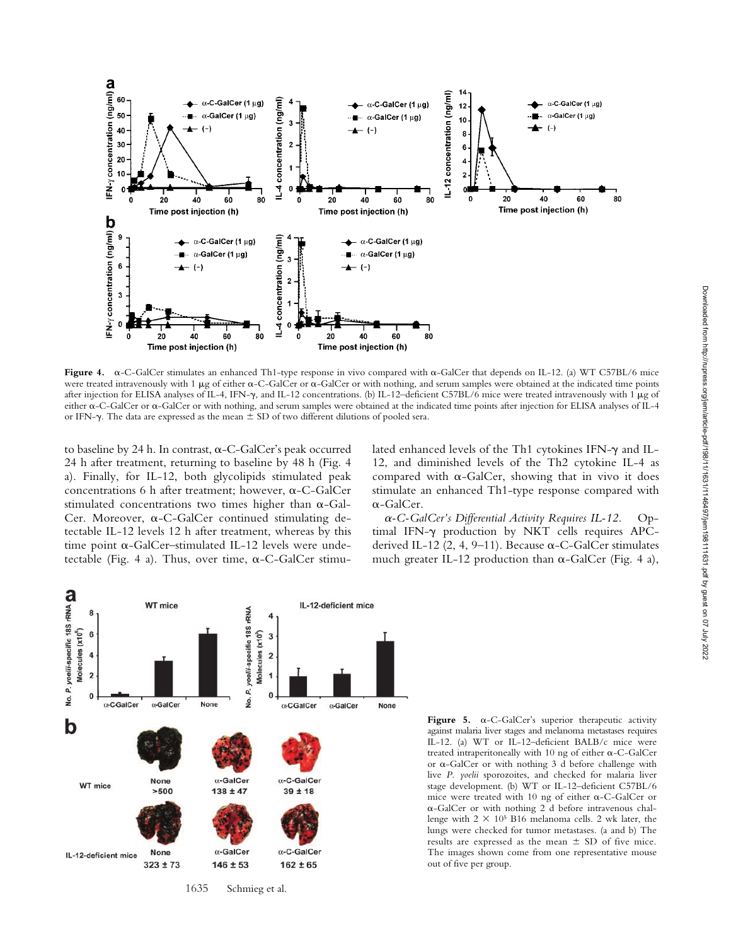

to baseline by 24 h. In contrast,  $\alpha$ -C-GalCer's peak occurred 24 h after treatment, returning to baseline by 48 h (Fig. 4 a). Finally, for IL-12, both glycolipids stimulated peak concentrations 6 h after treatment; however,  $\alpha$ -C-GalCer stimulated concentrations two times higher than  $\alpha$ -Gal-Cer. Moreover,  $\alpha$ -C-GalCer continued stimulating detectable IL-12 levels 12 h after treatment, whereas by this time point  $\alpha$ -GalCer-stimulated IL-12 levels were undetectable (Fig. 4 a). Thus, over time,  $\alpha$ -C-GalCer stimu-

**a** 

IFN-y concentration (

IFN- $\gamma$  concentration (ng/ml)  ${\bf C}$ 

60

50

40

 $30<sub>1</sub>$ 

20

 $10$ 

 $\overline{9}$ 

6

 $\overline{3}$ 

0

O

0

20

20

lated enhanced levels of the Th1 cytokines IFN- $\gamma$  and IL-12, and diminished levels of the Th2 cytokine IL-4 as compared with  $\alpha$ -GalCer, showing that in vivo it does stimulate an enhanced Th1-type response compared with --GalCer.

-*-C-GalCer's Differential Activity Requires IL-12.* Optimal IFN- $\gamma$  production by NKT cells requires APCderived IL-12 (2, 4, 9-11). Because  $\alpha$ -C-GalCer stimulates much greater IL-12 production than  $\alpha$ -GalCer (Fig. 4 a),



Figure  $5. \alpha$ -C-GalCer's superior therapeutic activity against malaria liver stages and melanoma metastases requires IL-12. (a) WT or IL-12–deficient BALB/c mice were treated intraperitoneally with  $10$  ng of either  $\alpha$ -C-GalCer or  $\alpha$ -GalCer or with nothing 3 d before challenge with live *P. yoelii* sporozoites, and checked for malaria liver stage development. (b) WT or IL-12–deficient C57BL/6 mice were treated with 10 ng of either  $\alpha$ -C-GalCer or --GalCer or with nothing 2 d before intravenous challenge with  $2 \times 10^5$  B16 melanoma cells. 2 wk later, the lungs were checked for tumor metastases. (a and b) The results are expressed as the mean  $\pm$  SD of five mice. The images shown come from one representative mouse out of five per group.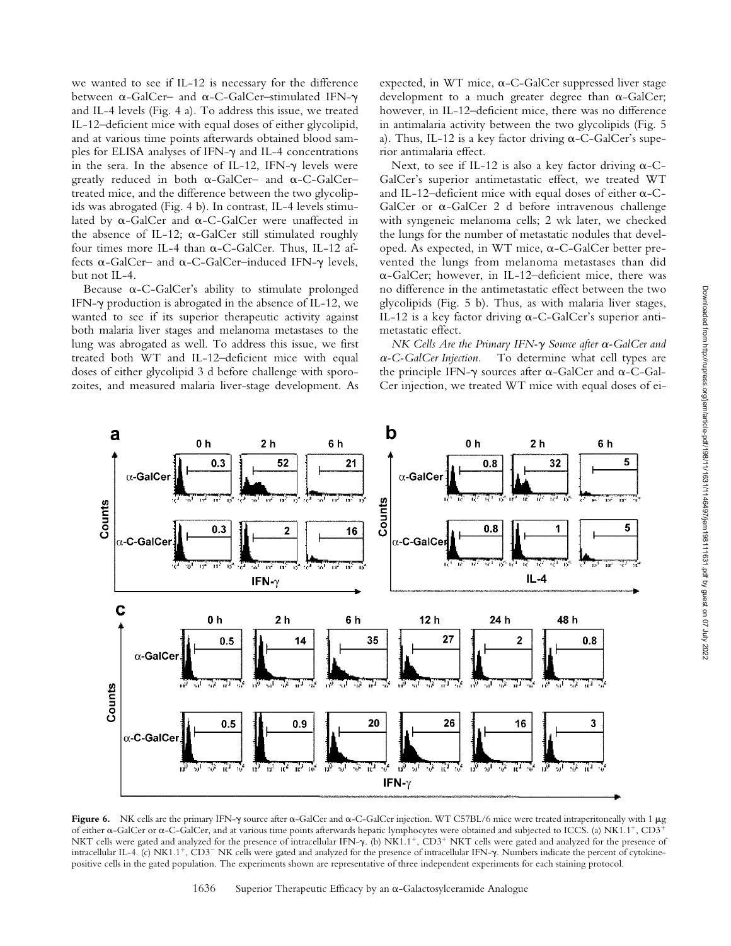we wanted to see if IL-12 is necessary for the difference between α-GalCer– and α-C-GalCer–stimulated IFN-γ and IL-4 levels (Fig. 4 a). To address this issue, we treated IL-12–deficient mice with equal doses of either glycolipid, and at various time points afterwards obtained blood samples for ELISA analyses of IFN- $\gamma$  and IL-4 concentrations in the sera. In the absence of IL-12, IFN- $\gamma$  levels were greatly reduced in both  $\alpha$ -GalCer– and  $\alpha$ -C-GalCer– treated mice, and the difference between the two glycolipids was abrogated (Fig. 4 b). In contrast, IL-4 levels stimulated by  $\alpha$ -GalCer and  $\alpha$ -C-GalCer were unaffected in the absence of IL-12;  $\alpha$ -GalCer still stimulated roughly four times more IL-4 than  $\alpha$ -C-GalCer. Thus, IL-12 affects  $\alpha$ -GalCer– and  $\alpha$ -C-GalCer–induced IFN- $\gamma$  levels, but not IL-4.

Because  $\alpha$ -C-GalCer's ability to stimulate prolonged IFN- $\gamma$  production is abrogated in the absence of IL-12, we wanted to see if its superior therapeutic activity against both malaria liver stages and melanoma metastases to the lung was abrogated as well. To address this issue, we first treated both WT and IL-12–deficient mice with equal doses of either glycolipid 3 d before challenge with sporozoites, and measured malaria liver-stage development. As

expected, in WT mice,  $\alpha$ -C-GalCer suppressed liver stage development to a much greater degree than  $\alpha$ -GalCer; however, in IL-12–deficient mice, there was no difference in antimalaria activity between the two glycolipids (Fig. 5 a). Thus, IL-12 is a key factor driving  $\alpha$ -C-GalCer's superior antimalaria effect.

Next, to see if IL-12 is also a key factor driving  $\alpha$ -C-GalCer's superior antimetastatic effect, we treated WT and IL-12-deficient mice with equal doses of either  $\alpha$ -C- $GalCer$  or  $\alpha$ -GalCer 2 d before intravenous challenge with syngeneic melanoma cells; 2 wk later, we checked the lungs for the number of metastatic nodules that developed. As expected, in WT mice, a-C-GalCer better prevented the lungs from melanoma metastases than did --GalCer; however, in IL-12–deficient mice, there was no difference in the antimetastatic effect between the two glycolipids (Fig. 5 b). Thus, as with malaria liver stages, IL-12 is a key factor driving  $\alpha$ -C-GalCer's superior antimetastatic effect.

*NK Cells Are the Primary IFN-γ Source after α-GalCer and*  $\alpha$ -C-GalCer Injection. To determine what cell types are the principle IFN- $\gamma$  sources after  $\alpha$ -GalCer and  $\alpha$ -C-Gal-Cer injection, we treated WT mice with equal doses of ei-



Figure 6. NK cells are the primary IFN- $\gamma$  source after  $\alpha$ -GalCer and  $\alpha$ -C-GalCer injection. WT C57BL/6 mice were treated intraperitoneally with 1  $\mu$ g of either  $\alpha$ -GalCer or  $\alpha$ -C-GalCer, and at various time points afterwards hepatic lymphocytes were obtained and subjected to ICCS. (a) NK1.1<sup>+</sup>, CD3<sup>+</sup> NKT cells were gated and analyzed for the presence of intracellular IFN-y. (b) NK1.1<sup>+</sup>, CD3<sup>+</sup> NKT cells were gated and analyzed for the presence of intracellular IL-4. (c) NK1.1<sup>+</sup>, CD3<sup>-</sup> NK cells were gated and analyzed for the presence of intracellular IFN- $\gamma$ . Numbers indicate the percent of cytokinepositive cells in the gated population. The experiments shown are representative of three independent experiments for each staining protocol.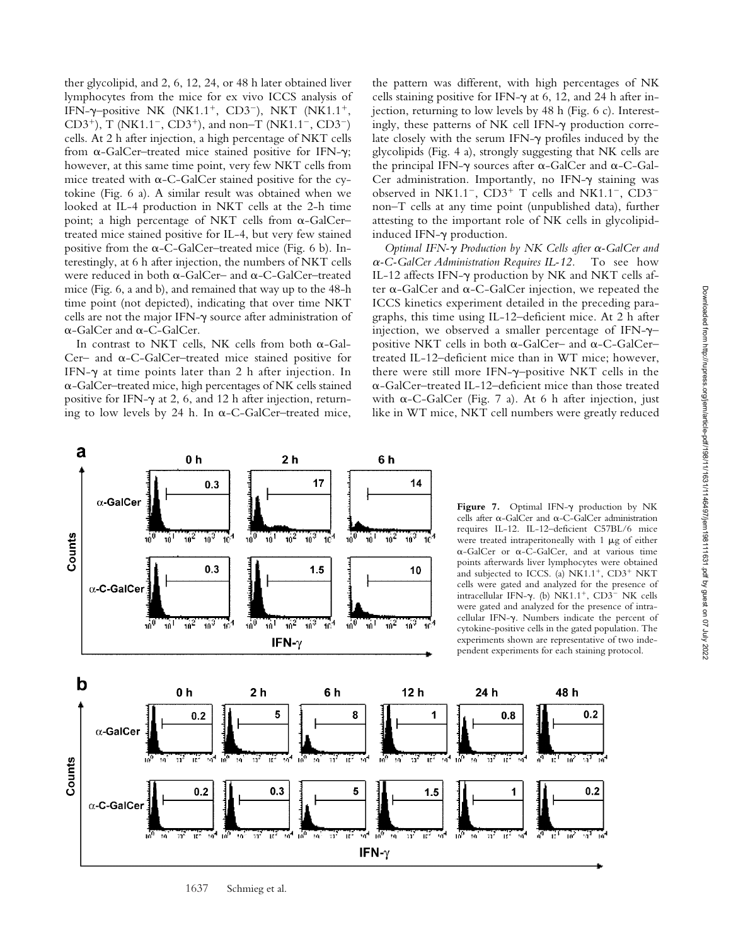ther glycolipid, and 2, 6, 12, 24, or 48 h later obtained liver lymphocytes from the mice for ex vivo ICCS analysis of IFN- $\gamma$ -positive NK (NK1.1<sup>+</sup>, CD3<sup>-</sup>), NKT (NK1.1<sup>+</sup>, CD3<sup>+</sup>), T (NK1.1<sup>-</sup>, CD3<sup>+</sup>), and non-T (NK1.1<sup>-</sup>, CD3<sup>-</sup>) cells. At 2 h after injection, a high percentage of NKT cells from  $\alpha$ -GalCer-treated mice stained positive for IFN- $\gamma$ ; however, at this same time point, very few NKT cells from mice treated with  $\alpha$ -C-GalCer stained positive for the cytokine (Fig. 6 a). A similar result was obtained when we looked at IL-4 production in NKT cells at the 2-h time point; a high percentage of NKT cells from  $\alpha$ -GalCer– treated mice stained positive for IL-4, but very few stained positive from the  $\alpha$ -C-GalCer–treated mice (Fig. 6 b). Interestingly, at 6 h after injection, the numbers of NKT cells were reduced in both  $\alpha$ -GalCer– and  $\alpha$ -C-GalCer–treated mice (Fig. 6, a and b), and remained that way up to the 48-h time point (not depicted), indicating that over time NKT cells are not the major IFN- $\gamma$  source after administration of  $\alpha$ -GalCer and  $\alpha$ -C-GalCer.

In contrast to NKT cells, NK cells from both  $\alpha$ -Gal-Cer- and  $\alpha$ -C-GalCer-treated mice stained positive for IFN- $\gamma$  at time points later than 2 h after injection. In --GalCer–treated mice, high percentages of NK cells stained positive for IFN- $\gamma$  at 2, 6, and 12 h after injection, returning to low levels by 24 h. In  $\alpha$ -C-GalCer-treated mice,

the pattern was different, with high percentages of NK cells staining positive for IFN- $\gamma$  at 6, 12, and 24 h after injection, returning to low levels by 48 h (Fig. 6 c). Interestingly, these patterns of NK cell IFN- $\gamma$  production correlate closely with the serum IFN- $\gamma$  profiles induced by the glycolipids (Fig. 4 a), strongly suggesting that NK cells are the principal IFN- $\gamma$  sources after  $\alpha$ -GalCer and  $\alpha$ -C-Gal-Cer administration. Importantly, no IFN- $\gamma$  staining was observed in NK1.1<sup>-</sup>, CD3<sup>+</sup> T cells and NK1.1<sup>-</sup>, CD3<sup>-</sup> non–T cells at any time point (unpublished data), further attesting to the important role of NK cells in glycolipidinduced IFN- $\gamma$  production.

*Optimal IFN-γ Production by NK Cells after α-GalCer and*  $\alpha$ -C-GalCer Administration Requires IL-12. To see how IL-12 affects IFN- $\gamma$  production by NK and NKT cells after  $\alpha$ -GalCer and  $\alpha$ -C-GalCer injection, we repeated the ICCS kinetics experiment detailed in the preceding paragraphs, this time using IL-12–deficient mice. At 2 h after injection, we observed a smaller percentage of IFN- $\gamma$ positive NKT cells in both  $\alpha$ -GalCer– and  $\alpha$ -C-GalCer– treated IL-12–deficient mice than in WT mice; however, there were still more IFN- $\gamma$ -positive NKT cells in the --GalCer–treated IL-12–deficient mice than those treated with  $\alpha$ -C-GalCer (Fig. 7 a). At 6 h after injection, just like in WT mice, NKT cell numbers were greatly reduced



<sup>1637</sup> Schmieg et al.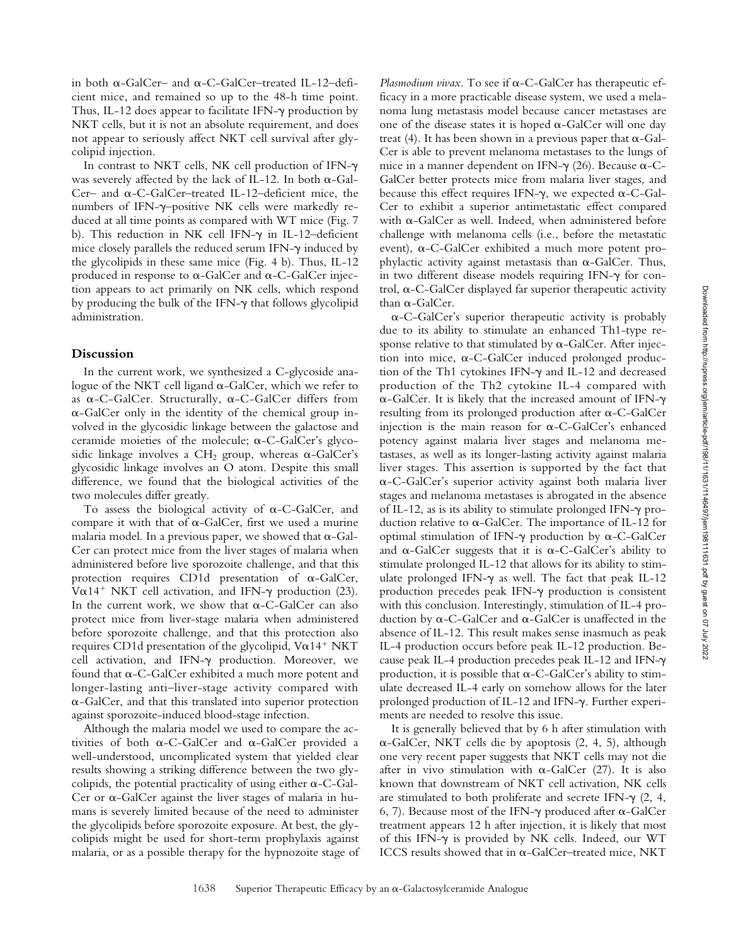in both  $\alpha$ -GalCer– and  $\alpha$ -C-GalCer–treated IL-12–deficient mice, and remained so up to the 48-h time point. Thus, IL-12 does appear to facilitate IFN- $\gamma$  production by NKT cells, but it is not an absolute requirement, and does not appear to seriously affect NKT cell survival after glycolipid injection.

In contrast to NKT cells, NK cell production of IFN was severely affected by the lack of IL-12. In both  $\alpha$ -Gal-Cer- and  $\alpha$ -C-GalCer-treated IL-12-deficient mice, the numbers of IFN- $\gamma$ -positive NK cells were markedly reduced at all time points as compared with WT mice (Fig. 7 b). This reduction in NK cell IFN- $\gamma$  in IL-12-deficient mice closely parallels the reduced serum IFN- $\gamma$  induced by the glycolipids in these same mice (Fig. 4 b). Thus, IL-12 produced in response to  $\alpha$ -GalCer and  $\alpha$ -C-GalCer injection appears to act primarily on NK cells, which respond by producing the bulk of the IFN- $\gamma$  that follows glycolipid administration.

# **Discussion**

In the current work, we synthesized a C-glycoside analogue of the NKT cell ligand  $\alpha$ -GalCer, which we refer to as  $\alpha$ -C-GalCer. Structurally,  $\alpha$ -C-GalCer differs from --GalCer only in the identity of the chemical group involved in the glycosidic linkage between the galactose and ceramide moieties of the molecule;  $\alpha$ -C-GalCer's glycosidic linkage involves a  $\rm CH_{2}$  group, whereas  $\alpha$ -GalCer's glycosidic linkage involves an O atom. Despite this small difference, we found that the biological activities of the two molecules differ greatly.

To assess the biological activity of  $\alpha$ -C-GalCer, and compare it with that of  $\alpha$ -GalCer, first we used a murine malaria model. In a previous paper, we showed that  $\alpha$ -Gal-Cer can protect mice from the liver stages of malaria when administered before live sporozoite challenge, and that this protection requires CD1d presentation of  $\alpha$ -GalCer, V $\alpha$ 14<sup>+</sup> NKT cell activation, and IFN- $\gamma$  production (23). In the current work, we show that  $\alpha$ -C-GalCer can also protect mice from liver-stage malaria when administered before sporozoite challenge, and that this protection also requires CD1d presentation of the glycolipid,  $Va14^+$  NKT cell activation, and IFN- $\gamma$  production. Moreover, we found that  $\alpha$ -C-GalCer exhibited a much more potent and longer-lasting anti–liver-stage activity compared with --GalCer, and that this translated into superior protection against sporozoite-induced blood-stage infection.

Although the malaria model we used to compare the activities of both  $\alpha$ -C-GalCer and  $\alpha$ -GalCer provided a well-understood, uncomplicated system that yielded clear results showing a striking difference between the two glycolipids, the potential practicality of using either  $\alpha$ -C-Gal-Cer or  $\alpha$ -GalCer against the liver stages of malaria in humans is severely limited because of the need to administer the glycolipids before sporozoite exposure. At best, the glycolipids might be used for short-term prophylaxis against malaria, or as a possible therapy for the hypnozoite stage of

Plasmodium vivax. To see if  $\alpha$ -C-GalCer has therapeutic efficacy in a more practicable disease system, we used a melanoma lung metastasis model because cancer metastases are one of the disease states it is hoped  $\alpha$ -GalCer will one day treat (4). It has been shown in a previous paper that  $\alpha$ -Gal-Cer is able to prevent melanoma metastases to the lungs of mice in a manner dependent on IFN- $\gamma$  (26). Because  $\alpha$ -C-GalCer better protects mice from malaria liver stages, and because this effect requires IFN- $\gamma$ , we expected  $\alpha$ -C-Gal-Cer to exhibit a superior antimetastatic effect compared with  $\alpha$ -GalCer as well. Indeed, when administered before challenge with melanoma cells (i.e., before the metastatic event),  $\alpha$ -C-GalCer exhibited a much more potent prophylactic activity against metastasis than  $\alpha$ -GalCer. Thus, in two different disease models requiring IFN- $\gamma$  for con $t$ rol,  $\alpha$ -C-GalCer displayed far superior therapeutic activity than  $\alpha$ -GalCer.

--C-GalCer's superior therapeutic activity is probably due to its ability to stimulate an enhanced Th1-type response relative to that stimulated by  $\alpha$ -GalCer. After injection into mice,  $\alpha$ -C-GalCer induced prolonged production of the Th1 cytokines IFN- $\gamma$  and IL-12 and decreased production of the Th2 cytokine IL-4 compared with  $\alpha$ -GalCer. It is likely that the increased amount of IFN- $\gamma$  $resulting from its prolonged production after  $\alpha$ -C-GalCer$ injection is the main reason for  $\alpha$ -C-GalCer's enhanced potency against malaria liver stages and melanoma metastases, as well as its longer-lasting activity against malaria liver stages. This assertion is supported by the fact that --C-GalCer's superior activity against both malaria liver stages and melanoma metastases is abrogated in the absence of IL-12, as is its ability to stimulate prolonged IFN- $\gamma$  production relative to  $\alpha$ -GalCer. The importance of IL-12 for optimal stimulation of IFN- $\gamma$  production by  $\alpha$ -C-GalCer and  $\alpha$ -GalCer suggests that it is  $\alpha$ -C-GalCer's ability to stimulate prolonged IL-12 that allows for its ability to stimulate prolonged IFN- $\gamma$  as well. The fact that peak IL-12 production precedes peak IFN- $\gamma$  production is consistent with this conclusion. Interestingly, stimulation of IL-4 production by  $\alpha$ -C-GalCer and  $\alpha$ -GalCer is unaffected in the absence of IL-12. This result makes sense inasmuch as peak IL-4 production occurs before peak IL-12 production. Because peak IL-4 production precedes peak IL-12 and IFN production, it is possible that  $\alpha$ -C-GalCer's ability to stimulate decreased IL-4 early on somehow allows for the later prolonged production of IL-12 and IFN- $\gamma$ . Further experiments are needed to resolve this issue.

It is generally believed that by 6 h after stimulation with --GalCer, NKT cells die by apoptosis (2, 4, 5), although one very recent paper suggests that NKT cells may not die after in vivo stimulation with  $\alpha$ -GalCer (27). It is also known that downstream of NKT cell activation, NK cells are stimulated to both proliferate and secrete IFN- $\gamma$  (2, 4, 6, 7). Because most of the IFN- $\gamma$  produced after  $\alpha$ -GalCer treatment appears 12 h after injection, it is likely that most of this IFN- $\gamma$  is provided by NK cells. Indeed, our WT ICCS results showed that in  $\alpha$ -GalCer-treated mice, NKT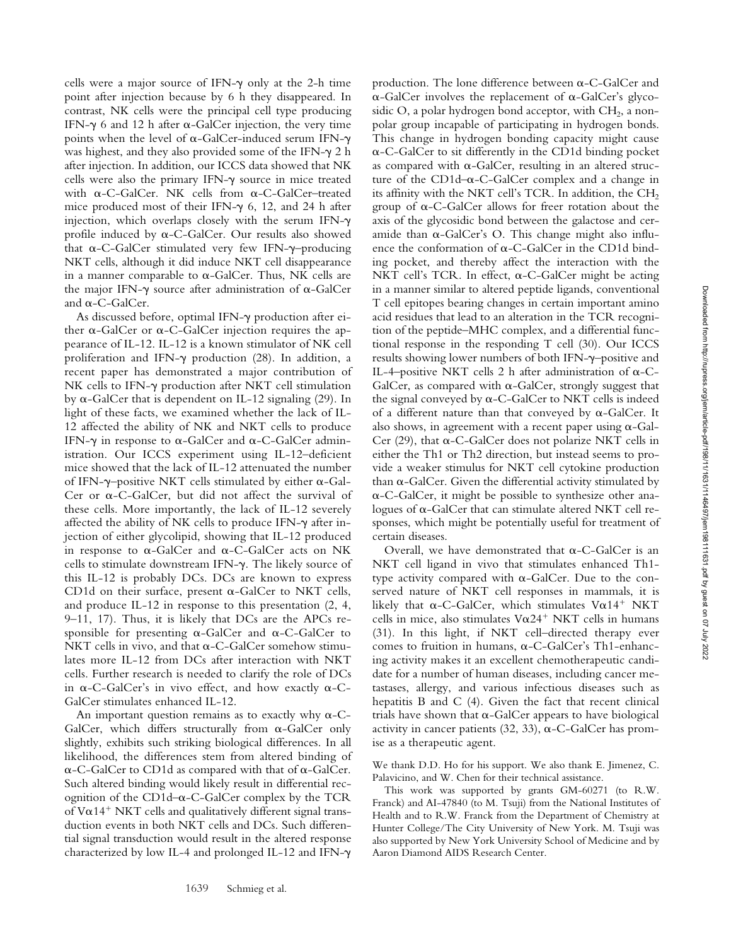cells were a major source of IFN- $\gamma$  only at the 2-h time point after injection because by 6 h they disappeared. In contrast, NK cells were the principal cell type producing IFN- $\gamma$  6 and 12 h after  $\alpha$ -GalCer injection, the very time points when the level of  $\alpha$ -GalCer-induced serum IFN- $\gamma$ was highest, and they also provided some of the IFN- $\gamma$  2 h after injection. In addition, our ICCS data showed that NK cells were also the primary IFN- $\gamma$  source in mice treated with  $\alpha$ -C-GalCer. NK cells from  $\alpha$ -C-GalCer-treated mice produced most of their IFN- $\gamma$  6, 12, and 24 h after injection, which overlaps closely with the serum IFN- $\gamma$ profile induced by  $\alpha$ -C-GalCer. Our results also showed that  $\alpha$ -C-GalCer stimulated very few IFN- $\gamma$ -producing NKT cells, although it did induce NKT cell disappearance in a manner comparable to  $\alpha$ -GalCer. Thus, NK cells are the major IFN- $\gamma$  source after administration of  $\alpha$ -GalCer and  $\alpha$ -C-GalCer.

As discussed before, optimal IFN- $\gamma$  production after either  $\alpha$ -GalCer or  $\alpha$ -C-GalCer injection requires the appearance of IL-12. IL-12 is a known stimulator of NK cell proliferation and IFN- $\gamma$  production (28). In addition, a recent paper has demonstrated a major contribution of NK cells to IFN- $\gamma$  production after NKT cell stimulation by  $\alpha$ -GalCer that is dependent on IL-12 signaling (29). In light of these facts, we examined whether the lack of IL-12 affected the ability of NK and NKT cells to produce IFN- $\gamma$  in response to  $\alpha$ -GalCer and  $\alpha$ -C-GalCer administration. Our ICCS experiment using IL-12–deficient mice showed that the lack of IL-12 attenuated the number of IFN- $\gamma$ -positive NKT cells stimulated by either  $\alpha$ -Gal-Cer or  $\alpha$ -C-GalCer, but did not affect the survival of these cells. More importantly, the lack of IL-12 severely affected the ability of NK cells to produce IFN- $\gamma$  after injection of either glycolipid, showing that IL-12 produced in response to  $\alpha$ -GalCer and  $\alpha$ -C-GalCer acts on NK cells to stimulate downstream IFN-y. The likely source of this IL-12 is probably DCs. DCs are known to express CD1d on their surface, present  $\alpha$ -GalCer to NKT cells, and produce IL-12 in response to this presentation (2, 4, 9–11, 17). Thus, it is likely that DCs are the APCs responsible for presenting  $\alpha$ -GalCer and  $\alpha$ -C-GalCer to NKT cells in vivo, and that  $\alpha$ -C-GalCer somehow stimulates more IL-12 from DCs after interaction with NKT cells. Further research is needed to clarify the role of DCs in  $\alpha$ -C-GalCer's in vivo effect, and how exactly  $\alpha$ -C-GalCer stimulates enhanced IL-12.

An important question remains as to exactly why  $\alpha$ -C-GalCer, which differs structurally from  $\alpha$ -GalCer only slightly, exhibits such striking biological differences. In all likelihood, the differences stem from altered binding of  $\alpha$ -C-GalCer to CD1d as compared with that of  $\alpha$ -GalCer. Such altered binding would likely result in differential recognition of the  $CD1d-\alpha$ -C-GalCer complex by the TCR of  $V\alpha$ 14<sup>+</sup> NKT cells and qualitatively different signal transduction events in both NKT cells and DCs. Such differential signal transduction would result in the altered response characterized by low IL-4 and prolonged IL-12 and IFN-

production. The lone difference between  $\alpha$ -C-GalCer and  $\alpha$ -GalCer involves the replacement of  $\alpha$ -GalCer's glycosidic O, a polar hydrogen bond acceptor, with  $CH<sub>2</sub>$ , a nonpolar group incapable of participating in hydrogen bonds. This change in hydrogen bonding capacity might cause --C-GalCer to sit differently in the CD1d binding pocket as compared with  $\alpha$ -GalCer, resulting in an altered structure of the CD1d- $\alpha$ -C-GalCer complex and a change in its affinity with the NKT cell's TCR. In addition, the  $CH<sub>2</sub>$ group of  $\alpha$ -C-GalCer allows for freer rotation about the axis of the glycosidic bond between the galactose and ceramide than  $\alpha$ -GalCer's O. This change might also influence the conformation of  $\alpha$ -C-GalCer in the CD1d binding pocket, and thereby affect the interaction with the NKT cell's TCR. In effect,  $\alpha$ -C-GalCer might be acting in a manner similar to altered peptide ligands, conventional T cell epitopes bearing changes in certain important amino acid residues that lead to an alteration in the TCR recognition of the peptide–MHC complex, and a differential functional response in the responding T cell (30). Our ICCS results showing lower numbers of both IFN-–positive and IL-4-positive NKT cells 2 h after administration of  $\alpha$ -C-GalCer, as compared with  $\alpha$ -GalCer, strongly suggest that the signal conveyed by  $\alpha$ -C-GalCer to NKT cells is indeed of a different nature than that conveyed by  $\alpha$ -GalCer. It also shows, in agreement with a recent paper using  $\alpha$ -Gal-Cer (29), that  $\alpha$ -C-GalCer does not polarize NKT cells in either the Th1 or Th2 direction, but instead seems to provide a weaker stimulus for NKT cell cytokine production than  $\alpha$ -GalCer. Given the differential activity stimulated by --C-GalCer, it might be possible to synthesize other ana $logues$  of  $\alpha$ -GalCer that can stimulate altered NKT cell responses, which might be potentially useful for treatment of certain diseases.

Overall, we have demonstrated that  $\alpha$ -C-GalCer is an NKT cell ligand in vivo that stimulates enhanced Th1 type activity compared with  $\alpha$ -GalCer. Due to the conserved nature of NKT cell responses in mammals, it is likely that  $\alpha$ -C-GalCer, which stimulates  $V\alpha$ 14<sup>+</sup> NKT cells in mice, also stimulates  $V\alpha24^+$  NKT cells in humans (31). In this light, if NKT cell–directed therapy ever comes to fruition in humans,  $\alpha$ -C-GalCer's Th1-enhancing activity makes it an excellent chemotherapeutic candidate for a number of human diseases, including cancer metastases, allergy, and various infectious diseases such as hepatitis B and C (4). Given the fact that recent clinical trials have shown that  $\alpha$ -GalCer appears to have biological activity in cancer patients  $(32, 33)$ ,  $\alpha$ -C-GalCer has promise as a therapeutic agent.

We thank D.D. Ho for his support. We also thank E. Jimenez, C. Palavicino, and W. Chen for their technical assistance.

This work was supported by grants GM-60271 (to R.W. Franck) and AI-47840 (to M. Tsuji) from the National Institutes of Health and to R.W. Franck from the Department of Chemistry at Hunter College/The City University of New York. M. Tsuji was also supported by New York University School of Medicine and by Aaron Diamond AIDS Research Center.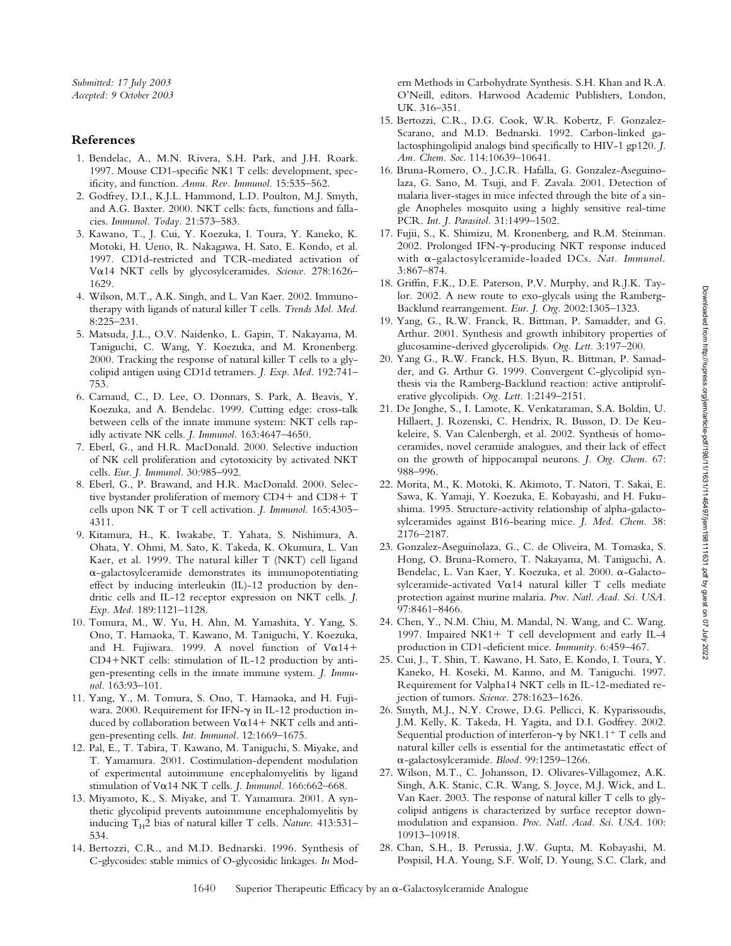## **References**

- 1. Bendelac, A., M.N. Rivera, S.H. Park, and J.H. Roark. 1997. Mouse CD1-specific NK1 T cells: development, specificity, and function. *Annu. Rev. Immunol.* 15:535–562.
- 2. Godfrey, D.I., K.J.L. Hammond, L.D. Poulton, M.J. Smyth, and A.G. Baxter. 2000. NKT cells: facts, functions and fallacies. *Immunol. Today.* 21:573–583.
- 3. Kawano, T., J. Cui, Y. Koezuka, I. Toura, Y. Kaneko, K. Motoki, H. Ueno, R. Nakagawa, H. Sato, E. Kondo, et al. 1997. CD1d-restricted and TCR-mediated activation of Vo.14 NKT cells by glycosylceramides. Science. 278:1626-1629.
- 4. Wilson, M.T., A.K. Singh, and L. Van Kaer. 2002. Immunotherapy with ligands of natural killer T cells. *Trends Mol. Med.* 8:225–231.
- 5. Matsuda, J.L., O.V. Naidenko, L. Gapin, T. Nakayama, M. Taniguchi, C. Wang, Y. Koezuka, and M. Kronenberg. 2000. Tracking the response of natural killer T cells to a glycolipid antigen using CD1d tetramers. *J. Exp. Med.* 192:741– 753.
- 6. Carnaud, C., D. Lee, O. Donnars, S. Park, A. Beavis, Y. Koezuka, and A. Bendelac. 1999. Cutting edge: cross-talk between cells of the innate immune system: NKT cells rapidly activate NK cells. *J. Immunol.* 163:4647–4650.
- 7. Eberl, G., and H.R. MacDonald. 2000. Selective induction of NK cell proliferation and cytotoxicity by activated NKT cells. *Eur. J. Immunol.* 30:985–992.
- 8. Eberl, G., P. Brawand, and H.R. MacDonald. 2000. Selective bystander proliferation of memory  $CD4+$  and  $CD8+$  T cells upon NK T or T cell activation. *J. Immunol.* 165:4305– 4311.
- 9. Kitamura, H., K. Iwakabe, T. Yahata, S. Nishimura, A. Ohata, Y. Ohmi, M. Sato, K. Takeda, K. Okumura, L. Van Kaer, et al. 1999. The natural killer T (NKT) cell ligand --galactosylceramide demonstrates its immunopotentiating effect by inducing interleukin (IL)-12 production by dendritic cells and IL-12 receptor expression on NKT cells. *J. Exp. Med.* 189:1121–1128.
- 10. Tomura, M., W. Yu, H. Ahn, M. Yamashita, Y. Yang, S. Ono, T. Hamaoka, T. Kawano, M. Taniguchi, Y. Koezuka, and H. Fujiwara. 1999. A novel function of  $Va14+$  $CD4 + NKT$  cells: stimulation of IL-12 production by antigen-presenting cells in the innate immune system. *J. Immunol.* 163:93–101.
- 11. Yang, Y., M. Tomura, S. Ono, T. Hamaoka, and H. Fujiwara. 2000. Requirement for IFN- $\gamma$  in IL-12 production induced by collaboration between  $Va14+NKT$  cells and antigen-presenting cells. *Int. Immunol.* 12:1669–1675.
- 12. Pal, E., T. Tabira, T. Kawano, M. Taniguchi, S. Miyake, and T. Yamamura. 2001. Costimulation-dependent modulation of experimental autoimmune encephalomyelitis by ligand stimulation of V $\alpha$ 14 NK T cells. *J. Immunol.* 166:662–668.
- 13. Miyamoto, K., S. Miyake, and T. Yamamura. 2001. A synthetic glycolipid prevents autoimmune encephalomyelitis by inducing T<sub>H</sub>2 bias of natural killer T cells. *Nature*. 413:531-534.
- 14. Bertozzi, C.R., and M.D. Bednarski. 1996. Synthesis of C-glycosides: stable mimics of O-glycosidic linkages. *In* Mod-

ern Methods in Carbohydrate Synthesis. S.H. Khan and R.A. O'Neill, editors. Harwood Academic Publishers, London, UK. 316–351.

- 15. Bertozzi, C.R., D.G. Cook, W.R. Kobertz, F. Gonzalez-Scarano, and M.D. Bednarski. 1992. Carbon-linked galactosphingolipid analogs bind specifically to HIV-1 gp120. *J. Am. Chem. Soc.* 114:10639–10641.
- 16. Bruna-Romero, O., J.C.R. Hafalla, G. Gonzalez-Aseguinolaza, G. Sano, M. Tsuji, and F. Zavala. 2001. Detection of malaria liver-stages in mice infected through the bite of a single Anopheles mosquito using a highly sensitive real-time PCR. *Int. J. Parasitol.* 31:1499–1502.
- 17. Fujii, S., K. Shimizu, M. Kronenberg, and R.M. Steinman. 2002. Prolonged IFN- $\gamma$ -producing NKT response induced with a-galactosylceramide-loaded DCs. Nat. Immunol. 3:867–874.
- 18. Griffin, F.K., D.E. Paterson, P.V. Murphy, and R.J.K. Taylor. 2002. A new route to exo-glycals using the Ramberg-Backlund rearrangement. *Eur. J. Org.* 2002:1305–1323.
- 19. Yang, G., R.W. Franck, R. Bittman, P. Samadder, and G. Arthur. 2001. Synthesis and growth inhibitory properties of glucosamine-derived glycerolipids. *Org. Lett.* 3:197–200.
- 20. Yang G., R.W. Franck, H.S. Byun, R. Bittman, P. Samadder, and G. Arthur G. 1999. Convergent C-glycolipid synthesis via the Ramberg-Backlund reaction: active antiproliferative glycolipids. *Org. Lett.* 1:2149–2151.
- 21. De Jonghe, S., I. Lamote, K. Venkataraman, S.A. Boldin, U. Hillaert, J. Rozenski, C. Hendrix, R. Busson, D. De Keukeleire, S. Van Calenbergh, et al. 2002. Synthesis of homoceramides, novel ceramide analogues, and their lack of effect on the growth of hippocampal neurons. *J. Org. Chem.* 67: 988–996.
- 22. Morita, M., K. Motoki, K. Akimoto, T. Natori, T. Sakai, E. Sawa, K. Yamaji, Y. Koezuka, E. Kobayashi, and H. Fukushima. 1995. Structure-activity relationship of alpha-galactosylceramides against B16-bearing mice. *J. Med. Chem.* 38: 2176–2187.
- 23. Gonzalez-Aseguinolaza, G., C. de Oliveira, M. Tomaska, S. Hong, O. Bruna-Romero, T. Nakayama, M. Taniguchi, A. Bendelac, L. Van Kaer, Y. Koezuka, et al. 2000.  $\alpha$ -Galacto $sylceramide-activated V\alpha14$  natural killer T cells mediate protection against murine malaria. *Proc. Natl. Acad. Sci. USA.* 97:8461–8466.
- 24. Chen, Y., N.M. Chiu, M. Mandal, N. Wang, and C. Wang. 1997. Impaired NK1+  $T$  cell development and early IL-4 production in CD1-deficient mice. *Immunity.* 6:459–467.
- 25. Cui, J., T. Shin, T. Kawano, H. Sato, E. Kondo, I. Toura, Y. Kaneko, H. Koseki, M. Kanno, and M. Taniguchi. 1997. Requirement for Valpha14 NKT cells in IL-12-mediated rejection of tumors. *Science.* 278:1623–1626.
- 26. Smyth, M.J., N.Y. Crowe, D.G. Pellicci, K. Kyparissoudis, J.M. Kelly, K. Takeda, H. Yagita, and D.I. Godfrey. 2002. Sequential production of interferon- $\gamma$  by NK1.1<sup>+</sup> T cells and natural killer cells is essential for the antimetastatic effect of --galactosylceramide. *Blood.* 99:1259–1266.
- 27. Wilson, M.T., C. Johansson, D. Olivares-Villagomez, A.K. Singh, A.K. Stanic, C.R. Wang, S. Joyce, M.J. Wick, and L. Van Kaer. 2003. The response of natural killer T cells to glycolipid antigens is characterized by surface receptor downmodulation and expansion. *Proc. Natl. Acad. Sci. USA.* 100: 10913–10918.
- 28. Chan, S.H., B. Perussia, J.W. Gupta, M. Kobayashi, M. Pospisil, H.A. Young, S.F. Wolf, D. Young, S.C. Clark, and